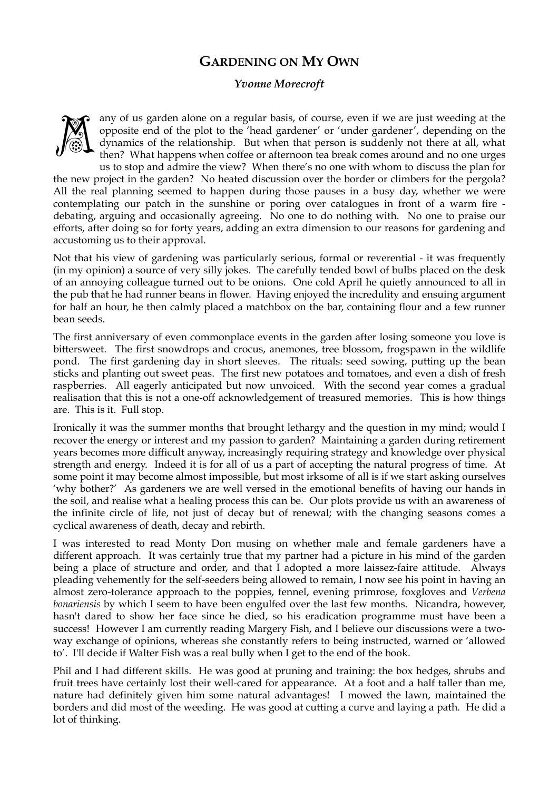## **GARDENING ON MY OWN**

## *Yvonne Morecroft*



any of us garden alone on a regular basis, of course, even if we are just weeding at the opposite end of the plot to the 'head gardener' or 'under gardener', depending on the dynamics of the relationship. But when that person is suddenly not there at all, what then? What happens when coffee or afternoon tea break comes around and no one urges

us to stop and admire the view? When there's no one with whom to discuss the plan for the new project in the garden? No heated discussion over the border or climbers for the pergola? All the real planning seemed to happen during those pauses in a busy day, whether we were contemplating our patch in the sunshine or poring over catalogues in front of a warm fire debating, arguing and occasionally agreeing. No one to do nothing with. No one to praise our efforts, after doing so for forty years, adding an extra dimension to our reasons for gardening and accustoming us to their approval.

Not that his view of gardening was particularly serious, formal or reverential - it was frequently (in my opinion) a source of very silly jokes. The carefully tended bowl of bulbs placed on the desk of an annoying colleague turned out to be onions. One cold April he quietly announced to all in the pub that he had runner beans in flower. Having enjoyed the incredulity and ensuing argument for half an hour, he then calmly placed a matchbox on the bar, containing flour and a few runner bean seeds.

The first anniversary of even commonplace events in the garden after losing someone you love is bittersweet. The first snowdrops and crocus, anemones, tree blossom, frogspawn in the wildlife pond. The first gardening day in short sleeves. The rituals: seed sowing, putting up the bean sticks and planting out sweet peas. The first new potatoes and tomatoes, and even a dish of fresh raspberries. All eagerly anticipated but now unvoiced. With the second year comes a gradual realisation that this is not a one-off acknowledgement of treasured memories. This is how things are. This is it. Full stop.

Ironically it was the summer months that brought lethargy and the question in my mind; would I recover the energy or interest and my passion to garden? Maintaining a garden during retirement years becomes more difficult anyway, increasingly requiring strategy and knowledge over physical strength and energy. Indeed it is for all of us a part of accepting the natural progress of time. At some point it may become almost impossible, but most irksome of all is if we start asking ourselves 'why bother?' As gardeners we are well versed in the emotional benefits of having our hands in the soil, and realise what a healing process this can be. Our plots provide us with an awareness of the infinite circle of life, not just of decay but of renewal; with the changing seasons comes a cyclical awareness of death, decay and rebirth.

I was interested to read Monty Don musing on whether male and female gardeners have a different approach. It was certainly true that my partner had a picture in his mind of the garden being a place of structure and order, and that I adopted a more laissez-faire attitude. Always pleading vehemently for the self-seeders being allowed to remain, I now see his point in having an almost zero-tolerance approach to the poppies, fennel, evening primrose, foxgloves and *Verbena bonariensis* by which I seem to have been engulfed over the last few months. Nicandra, however, hasn't dared to show her face since he died, so his eradication programme must have been a success! However I am currently reading Margery Fish, and I believe our discussions were a twoway exchange of opinions, whereas she constantly refers to being instructed, warned or 'allowed to'. I'll decide if Walter Fish was a real bully when I get to the end of the book.

Phil and I had different skills. He was good at pruning and training: the box hedges, shrubs and fruit trees have certainly lost their well-cared for appearance. At a foot and a half taller than me, nature had definitely given him some natural advantages! I mowed the lawn, maintained the borders and did most of the weeding. He was good at cutting a curve and laying a path. He did a lot of thinking.